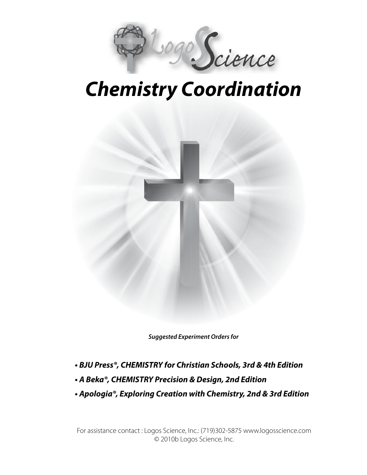

# *Chemistry Coordination*



*Suggested Experiment Orders for*

- **BJU Press®, CHEMISTRY for Christian Schools, 3rd & 4th Edition**
- **A Beka®, CHEMISTRY Precision & Design, 2nd Edition**
- **Apologia®, Exploring Creation with Chemistry, 2nd & 3rd Edition**

For assistance contact : Logos Science, Inc.: (719)302-5875 www.logosscience.com © 2010b Logos Science, Inc.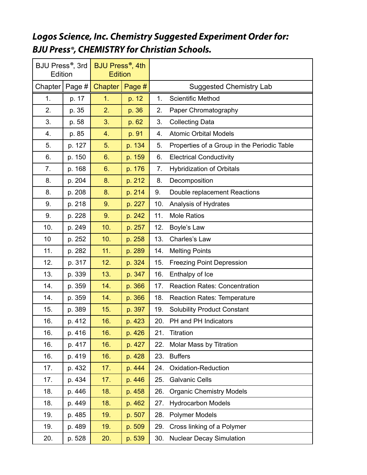## *L***ogos Science, Inc. Chemistry Suggested Experiment Order for: BJU Press®, CHEMISTRY for Christian Schools.**

| BJU Press <sup>®</sup> , 3rd<br>Edition |        | BJU Press <sup>®</sup> , 4th<br><b>Edition</b> |        |     |                                             |
|-----------------------------------------|--------|------------------------------------------------|--------|-----|---------------------------------------------|
| Chapter                                 | Page # | <b>Chapter</b>                                 | Page # |     | <b>Suggested Chemistry Lab</b>              |
| 1.                                      | p. 17  | 1.                                             | p. 12  | 1.  | <b>Scientific Method</b>                    |
| 2.                                      | p. 35  | 2.                                             | p. 36  | 2.  | Paper Chromatography                        |
| 3.                                      | p. 58  | 3.                                             | p. 62  | 3.  | <b>Collecting Data</b>                      |
| 4.                                      | p. 85  | 4.                                             | p. 91  | 4.  | <b>Atomic Orbital Models</b>                |
| 5.                                      | p. 127 | 5.                                             | p. 134 | 5.  | Properties of a Group in the Periodic Table |
| 6.                                      | p. 150 | 6.                                             | p. 159 | 6.  | <b>Electrical Conductivity</b>              |
| 7.                                      | p. 168 | 6.                                             | p. 176 | 7.  | <b>Hybridization of Orbitals</b>            |
| 8.                                      | p. 204 | 8.                                             | p. 212 | 8.  | Decomposition                               |
| 8.                                      | p. 208 | 8.                                             | p. 214 | 9.  | Double replacement Reactions                |
| 9.                                      | p. 218 | 9.                                             | p. 227 | 10. | Analysis of Hydrates                        |
| 9.                                      | p. 228 | 9.                                             | p. 242 | 11. | <b>Mole Ratios</b>                          |
| 10.                                     | p. 249 | 10.                                            | p. 257 | 12. | Boyle's Law                                 |
| 10                                      | p. 252 | 10.                                            | p. 258 | 13. | Charles's Law                               |
| 11.                                     | p. 282 | 11.                                            | p. 289 | 14. | <b>Melting Points</b>                       |
| 12.                                     | p. 317 | 12.                                            | p. 324 | 15. | <b>Freezing Point Depression</b>            |
| 13.                                     | p. 339 | 13.                                            | p. 347 | 16. | Enthalpy of Ice                             |
| 14.                                     | p. 359 | 14.                                            | p. 366 | 17. | <b>Reaction Rates: Concentration</b>        |
| 14.                                     | p. 359 | 14.                                            | p. 366 | 18. | <b>Reaction Rates: Temperature</b>          |
| 15.                                     | p. 389 | 15.                                            | p. 397 | 19. | <b>Solubility Product Constant</b>          |
| 16.                                     | p. 412 | 16.                                            | p. 423 | 20. | PH and PH Indicators                        |
| 16.                                     | p. 416 | 16.                                            | p. 426 | 21. | <b>Titration</b>                            |
| 16.                                     | p. 417 | 16.                                            | p. 427 | 22. | Molar Mass by Titration                     |
| 16.                                     | p. 419 | 16.                                            | p. 428 | 23. | <b>Buffers</b>                              |
| 17.                                     | p. 432 | 17.                                            | p. 444 | 24. | <b>Oxidation-Reduction</b>                  |
| 17.                                     | p. 434 | 17.                                            | p. 446 | 25. | <b>Galvanic Cells</b>                       |
| 18.                                     | p. 446 | 18.                                            | p. 458 | 26. | <b>Organic Chemistry Models</b>             |
| 18.                                     | p. 449 | 18.                                            | p. 462 | 27. | <b>Hydrocarbon Models</b>                   |
| 19.                                     | p. 485 | 19.                                            | p. 507 | 28. | <b>Polymer Models</b>                       |
| 19.                                     | p. 489 | 19.                                            | p. 509 | 29. | Cross linking of a Polymer                  |
| 20.                                     | p. 528 | 20.                                            | p. 539 | 30. | <b>Nuclear Decay Simulation</b>             |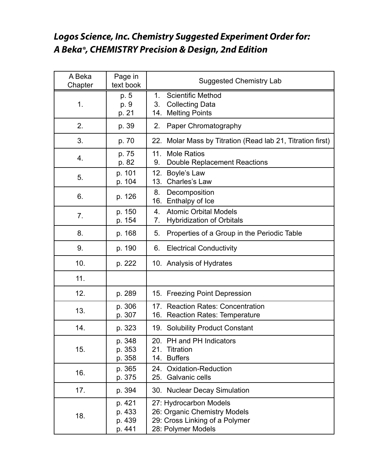### **Logos Science, Inc. Chemistry Suggested Experiment Order for: A Beka®, CHEMISTRY Precision & Design, 2nd Edition**

| A Beka<br>Chapter | Page in<br>text book                 | <b>Suggested Chemistry Lab</b>                                                                                 |
|-------------------|--------------------------------------|----------------------------------------------------------------------------------------------------------------|
| 1.                | p. 5<br>p. 9<br>p. 21                | <b>Scientific Method</b><br>1.<br><b>Collecting Data</b><br>3.<br><b>Melting Points</b><br>14.                 |
| 2.                | p. 39                                | Paper Chromatography<br>2.                                                                                     |
| 3.                | p. 70                                | 22. Molar Mass by Titration (Read lab 21, Titration first)                                                     |
| 4.                | p. 75<br>p. 82                       | <b>Mole Ratios</b><br>11.<br><b>Double Replacement Reactions</b><br>9.                                         |
| 5.                | p. 101<br>p. 104                     | 12. Boyle's Law<br>13. Charles's Law                                                                           |
| 6.                | p. 126                               | 8.<br>Decomposition<br>Enthalpy of Ice<br>16.                                                                  |
| 7.                | p. 150<br>p. 154                     | <b>Atomic Orbital Models</b><br>4.<br><b>Hybridization of Orbitals</b><br>7.                                   |
| 8.                | p. 168                               | Properties of a Group in the Periodic Table<br>5.                                                              |
| 9.                | p. 190                               | <b>Electrical Conductivity</b><br>6.                                                                           |
| 10.               | p. 222                               | 10. Analysis of Hydrates                                                                                       |
| 11.               |                                      |                                                                                                                |
| 12.               | p. 289                               | 15. Freezing Point Depression                                                                                  |
| 13.               | p. 306<br>p. 307                     | 17. Reaction Rates: Concentration<br>16. Reaction Rates: Temperature                                           |
| 14.               | p. 323                               | 19. Solubility Product Constant                                                                                |
| 15.               | p. 348<br>p. 353<br>p. 358           | 20.<br>PH and PH Indicators<br>21. Titration<br>14. Buffers                                                    |
| 16.               | p. 365<br>p. 375                     | 24. Oxidation-Reduction<br>25. Galvanic cells                                                                  |
| 17.               | p. 394                               | 30. Nuclear Decay Simulation                                                                                   |
| 18.               | p. 421<br>p. 433<br>p. 439<br>p. 441 | 27: Hydrocarbon Models<br>26: Organic Chemistry Models<br>29: Cross Linking of a Polymer<br>28: Polymer Models |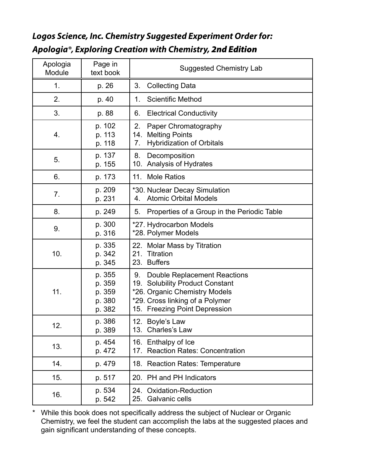#### **Logos Science, Inc. Chemistry Suggested Experiment Order for: Apologia®, Exploring Creation with Chemistry,** *2nd Edition*

| Apologia<br>Module | Page in<br>text book                           | <b>Suggested Chemistry Lab</b>                                                                                                                                                       |
|--------------------|------------------------------------------------|--------------------------------------------------------------------------------------------------------------------------------------------------------------------------------------|
| 1.                 | p. 26                                          | 3.<br><b>Collecting Data</b>                                                                                                                                                         |
| 2.                 | p. 40                                          | <b>Scientific Method</b><br>1.                                                                                                                                                       |
| 3.                 | p. 88                                          | <b>Electrical Conductivity</b><br>6.                                                                                                                                                 |
| 4.                 | p. 102<br>p. 113<br>p. 118                     | 2.<br>Paper Chromatography<br><b>Melting Points</b><br>14.<br><b>Hybridization of Orbitals</b><br>7.                                                                                 |
| 5.                 | p. 137<br>p. 155                               | Decomposition<br>8.<br>Analysis of Hydrates<br>10.                                                                                                                                   |
| 6.                 | p. 173                                         | <b>Mole Ratios</b><br>11.                                                                                                                                                            |
| 7.                 | p. 209<br>p. 231                               | *30. Nuclear Decay Simulation<br><b>Atomic Orbital Models</b><br>4.                                                                                                                  |
| 8.                 | p. 249                                         | Properties of a Group in the Periodic Table<br>5.                                                                                                                                    |
| 9.                 | p. 300<br>p. 316                               | *27. Hydrocarbon Models<br>*28. Polymer Models                                                                                                                                       |
| 10.                | p. 335<br>p. 342<br>p. 345                     | 22. Molar Mass by Titration<br>Titration<br>21.<br>23.<br><b>Buffers</b>                                                                                                             |
| 11.                | p. 355<br>p. 359<br>p. 359<br>p. 380<br>p. 382 | Double Replacement Reactions<br>9.<br><b>Solubility Product Constant</b><br>19.<br>*26. Organic Chemistry Models<br>*29. Cross linking of a Polymer<br>15. Freezing Point Depression |
| 12                 | p. 386<br>p. 389                               | 12. Boyle's Law<br>13.<br>Charles's Law                                                                                                                                              |
| 13.                | p. 454<br>p. 472                               | 16. Enthalpy of Ice<br>17. Reaction Rates: Concentration                                                                                                                             |
| 14.                | p. 479                                         | 18. Reaction Rates: Temperature                                                                                                                                                      |
| 15.                | p. 517                                         | 20. PH and PH Indicators                                                                                                                                                             |
| 16.                | p. 534<br>p. 542                               | <b>Oxidation-Reduction</b><br>24.<br>25. Galvanic cells                                                                                                                              |

\* While this book does not specifically address the subject of Nuclear or Organic Chemistry, we feel the student can accomplish the labs at the suggested places and gain significant understanding of these concepts.